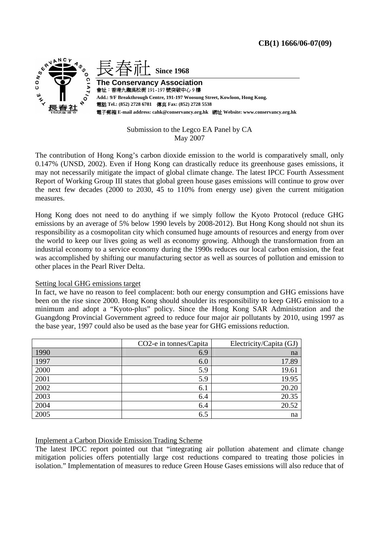

# Submission to the Legco EA Panel by CA May 2007

The contribution of Hong Kong's carbon dioxide emission to the world is comparatively small, only 0.147% (UNSD, 2002). Even if Hong Kong can drastically reduce its greenhouse gases emissions, it may not necessarily mitigate the impact of global climate change. The latest IPCC Fourth Assessment Report of Working Group III states that global green house gases emissions will continue to grow over the next few decades (2000 to 2030, 45 to 110% from energy use) given the current mitigation measures.

Hong Kong does not need to do anything if we simply follow the Kyoto Protocol (reduce GHG emissions by an average of 5% below 1990 levels by 2008-2012). But Hong Kong should not shun its responsibility as a cosmopolitan city which consumed huge amounts of resources and energy from over the world to keep our lives going as well as economy growing. Although the transformation from an industrial economy to a service economy during the 1990s reduces our local carbon emission, the feat was accomplished by shifting our manufacturing sector as well as sources of pollution and emission to other places in the Pearl River Delta.

# Setting local GHG emissions target

In fact, we have no reason to feel complacent: both our energy consumption and GHG emissions have been on the rise since 2000. Hong Kong should shoulder its responsibility to keep GHG emission to a minimum and adopt a "Kyoto-plus" policy. Since the Hong Kong SAR Administration and the Guangdong Provincial Government agreed to reduce four major air pollutants by 2010, using 1997 as the base year, 1997 could also be used as the base year for GHG emissions reduction.

|      | CO <sub>2</sub> -e in tonnes/Capita | Electricity/Capita (GJ) |
|------|-------------------------------------|-------------------------|
| 1990 | 6.9                                 | na                      |
| 1997 | 6.0                                 | 17.89                   |
| 2000 | 5.9                                 | 19.61                   |
| 2001 | 5.9                                 | 19.95                   |
| 2002 | 6.1                                 | 20.20                   |
| 2003 | 6.4                                 | 20.35                   |
| 2004 | 6.4                                 | 20.52                   |
| 2005 | 6.5                                 | na                      |

# Implement a Carbon Dioxide Emission Trading Scheme

The latest IPCC report pointed out that "integrating air pollution abatement and climate change mitigation policies offers potentially large cost reductions compared to treating those policies in isolation." Implementation of measures to reduce Green House Gases emissions will also reduce that of